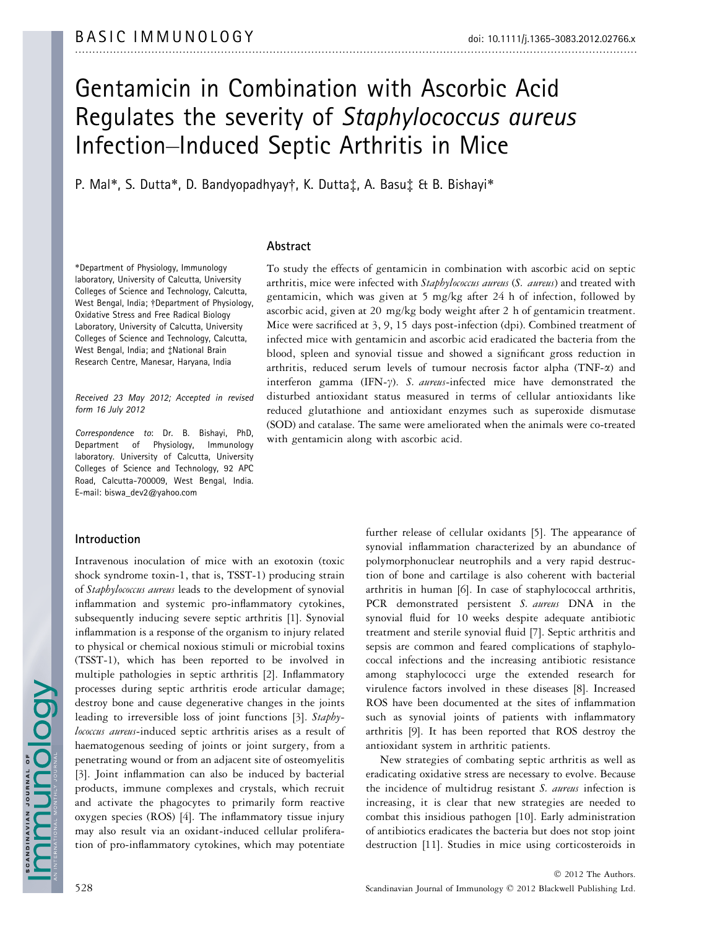# Gentamicin in Combination with Ascorbic Acid Regulates the severity of Staphylococcus aureus Infection–Induced Septic Arthritis in Mice

P. Mal\*, S. Dutta\*, D. Bandyopadhyay†, K. Dutta‡, A. Basu‡ & B. Bishayi\*

# Abstract

\*Department of Physiology, Immunology laboratory, University of Calcutta, University Colleges of Science and Technology, Calcutta, West Bengal, India; †Department of Physiology, Oxidative Stress and Free Radical Biology Laboratory, University of Calcutta, University Colleges of Science and Technology, Calcutta, West Bengal, India; and ‡National Brain Research Centre, Manesar, Haryana, India

Received 23 May 2012; Accepted in revised form 16 July 2012

Correspondence to: Dr. B. Bishayi, PhD, Department of Physiology, Immunology laboratory. University of Calcutta, University Colleges of Science and Technology, 92 APC Road, Calcutta-700009, West Bengal, India. E-mail: biswa\_dev2@yahoo.com

# Introduction

Intravenous inoculation of mice with an exotoxin (toxic shock syndrome toxin-1, that is, TSST-1) producing strain of Staphylococcus aureus leads to the development of synovial inflammation and systemic pro-inflammatory cytokines, subsequently inducing severe septic arthritis [1]. Synovial inflammation is a response of the organism to injury related to physical or chemical noxious stimuli or microbial toxins (TSST-1), which has been reported to be involved in multiple pathologies in septic arthritis [2]. Inflammatory processes during septic arthritis erode articular damage; destroy bone and cause degenerative changes in the joints leading to irreversible loss of joint functions [3]. Staphylococcus aureus-induced septic arthritis arises as a result of haematogenous seeding of joints or joint surgery, from a penetrating wound or from an adjacent site of osteomyelitis [3]. Joint inflammation can also be induced by bacterial products, immune complexes and crystals, which recruit and activate the phagocytes to primarily form reactive oxygen species (ROS) [4]. The inflammatory tissue injury may also result via an oxidant-induced cellular proliferation of pro-inflammatory cytokines, which may potentiate

To study the effects of gentamicin in combination with ascorbic acid on septic arthritis, mice were infected with Staphylococcus aureus (S. aureus) and treated with gentamicin, which was given at 5 mg/kg after 24 h of infection, followed by ascorbic acid, given at 20 mg/kg body weight after 2 h of gentamicin treatment. Mice were sacrificed at 3, 9, 15 days post-infection (dpi). Combined treatment of infected mice with gentamicin and ascorbic acid eradicated the bacteria from the blood, spleen and synovial tissue and showed a significant gross reduction in arthritis, reduced serum levels of tumour necrosis factor alpha (TNF- $\alpha$ ) and interferon gamma (IFN- $\gamma$ ). S. aureus-infected mice have demonstrated the disturbed antioxidant status measured in terms of cellular antioxidants like reduced glutathione and antioxidant enzymes such as superoxide dismutase (SOD) and catalase. The same were ameliorated when the animals were co-treated with gentamicin along with ascorbic acid.

> further release of cellular oxidants [5]. The appearance of synovial inflammation characterized by an abundance of polymorphonuclear neutrophils and a very rapid destruction of bone and cartilage is also coherent with bacterial arthritis in human [6]. In case of staphylococcal arthritis, PCR demonstrated persistent S. aureus DNA in the synovial fluid for 10 weeks despite adequate antibiotic treatment and sterile synovial fluid [7]. Septic arthritis and sepsis are common and feared complications of staphylococcal infections and the increasing antibiotic resistance among staphylococci urge the extended research for virulence factors involved in these diseases [8]. Increased ROS have been documented at the sites of inflammation such as synovial joints of patients with inflammatory arthritis [9]. It has been reported that ROS destroy the antioxidant system in arthritic patients.

> New strategies of combating septic arthritis as well as eradicating oxidative stress are necessary to evolve. Because the incidence of multidrug resistant S. aureus infection is increasing, it is clear that new strategies are needed to combat this insidious pathogen [10]. Early administration of antibiotics eradicates the bacteria but does not stop joint destruction [11]. Studies in mice using corticosteroids in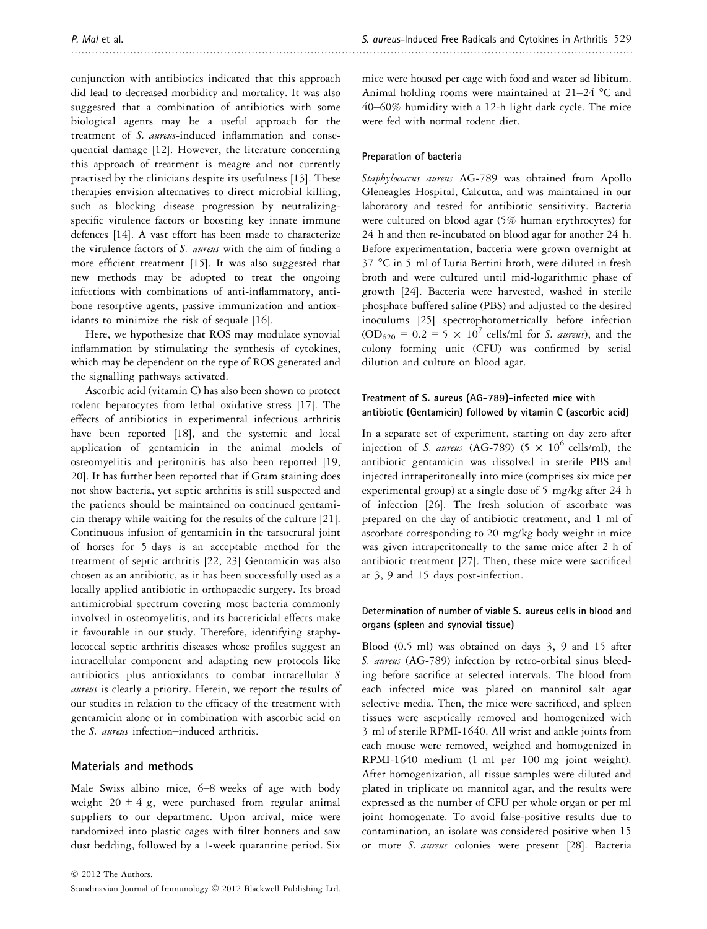conjunction with antibiotics indicated that this approach did lead to decreased morbidity and mortality. It was also suggested that a combination of antibiotics with some biological agents may be a useful approach for the treatment of S. aureus-induced inflammation and consequential damage [12]. However, the literature concerning this approach of treatment is meagre and not currently practised by the clinicians despite its usefulness [13]. These therapies envision alternatives to direct microbial killing, such as blocking disease progression by neutralizingspecific virulence factors or boosting key innate immune defences [14]. A vast effort has been made to characterize the virulence factors of S. aureus with the aim of finding a more efficient treatment [15]. It was also suggested that new methods may be adopted to treat the ongoing infections with combinations of anti-inflammatory, antibone resorptive agents, passive immunization and antioxidants to minimize the risk of sequale [16].

Here, we hypothesize that ROS may modulate synovial inflammation by stimulating the synthesis of cytokines, which may be dependent on the type of ROS generated and the signalling pathways activated.

Ascorbic acid (vitamin C) has also been shown to protect rodent hepatocytes from lethal oxidative stress [17]. The effects of antibiotics in experimental infectious arthritis have been reported [18], and the systemic and local application of gentamicin in the animal models of osteomyelitis and peritonitis has also been reported [19, 20]. It has further been reported that if Gram staining does not show bacteria, yet septic arthritis is still suspected and the patients should be maintained on continued gentamicin therapy while waiting for the results of the culture [21]. Continuous infusion of gentamicin in the tarsocrural joint of horses for 5 days is an acceptable method for the treatment of septic arthritis [22, 23] Gentamicin was also chosen as an antibiotic, as it has been successfully used as a locally applied antibiotic in orthopaedic surgery. Its broad antimicrobial spectrum covering most bacteria commonly involved in osteomyelitis, and its bactericidal effects make it favourable in our study. Therefore, identifying staphylococcal septic arthritis diseases whose profiles suggest an intracellular component and adapting new protocols like antibiotics plus antioxidants to combat intracellular S aureus is clearly a priority. Herein, we report the results of our studies in relation to the efficacy of the treatment with gentamicin alone or in combination with ascorbic acid on the S. aureus infection–induced arthritis.

# Materials and methods

Male Swiss albino mice, 6–8 weeks of age with body weight  $20 \pm 4$  g, were purchased from regular animal suppliers to our department. Upon arrival, mice were randomized into plastic cages with filter bonnets and saw dust bedding, followed by a 1-week quarantine period. Six mice were housed per cage with food and water ad libitum. Animal holding rooms were maintained at  $21-24$  °C and 40–60% humidity with a 12-h light dark cycle. The mice were fed with normal rodent diet.

## Preparation of bacteria

Staphylococcus aureus AG-789 was obtained from Apollo Gleneagles Hospital, Calcutta, and was maintained in our laboratory and tested for antibiotic sensitivity. Bacteria were cultured on blood agar (5% human erythrocytes) for 24 h and then re-incubated on blood agar for another 24 h. Before experimentation, bacteria were grown overnight at 37 °C in 5 ml of Luria Bertini broth, were diluted in fresh broth and were cultured until mid-logarithmic phase of growth [24]. Bacteria were harvested, washed in sterile phosphate buffered saline (PBS) and adjusted to the desired inoculums [25] spectrophotometrically before infection  $(OD_{620} = 0.2 = 5 \times 10^7 \text{ cells/ml}$  for *S. aureus*), and the colony forming unit (CFU) was confirmed by serial dilution and culture on blood agar.

# Treatment of S. aureus (AG-789)-infected mice with antibiotic (Gentamicin) followed by vitamin C (ascorbic acid)

In a separate set of experiment, starting on day zero after injection of *S. aureus* (AG-789) (5  $\times$  10<sup>6</sup> cells/ml), the antibiotic gentamicin was dissolved in sterile PBS and injected intraperitoneally into mice (comprises six mice per experimental group) at a single dose of 5 mg/kg after 24 h of infection [26]. The fresh solution of ascorbate was prepared on the day of antibiotic treatment, and 1 ml of ascorbate corresponding to 20 mg/kg body weight in mice was given intraperitoneally to the same mice after 2 h of antibiotic treatment [27]. Then, these mice were sacrificed at 3, 9 and 15 days post-infection.

# Determination of number of viable S. aureus cells in blood and organs (spleen and synovial tissue)

Blood (0.5 ml) was obtained on days 3, 9 and 15 after S. aureus (AG-789) infection by retro-orbital sinus bleeding before sacrifice at selected intervals. The blood from each infected mice was plated on mannitol salt agar selective media. Then, the mice were sacrificed, and spleen tissues were aseptically removed and homogenized with 3 ml of sterile RPMI-1640. All wrist and ankle joints from each mouse were removed, weighed and homogenized in RPMI-1640 medium (1 ml per 100 mg joint weight). After homogenization, all tissue samples were diluted and plated in triplicate on mannitol agar, and the results were expressed as the number of CFU per whole organ or per ml joint homogenate. To avoid false-positive results due to contamination, an isolate was considered positive when 15 or more S. aureus colonies were present [28]. Bacteria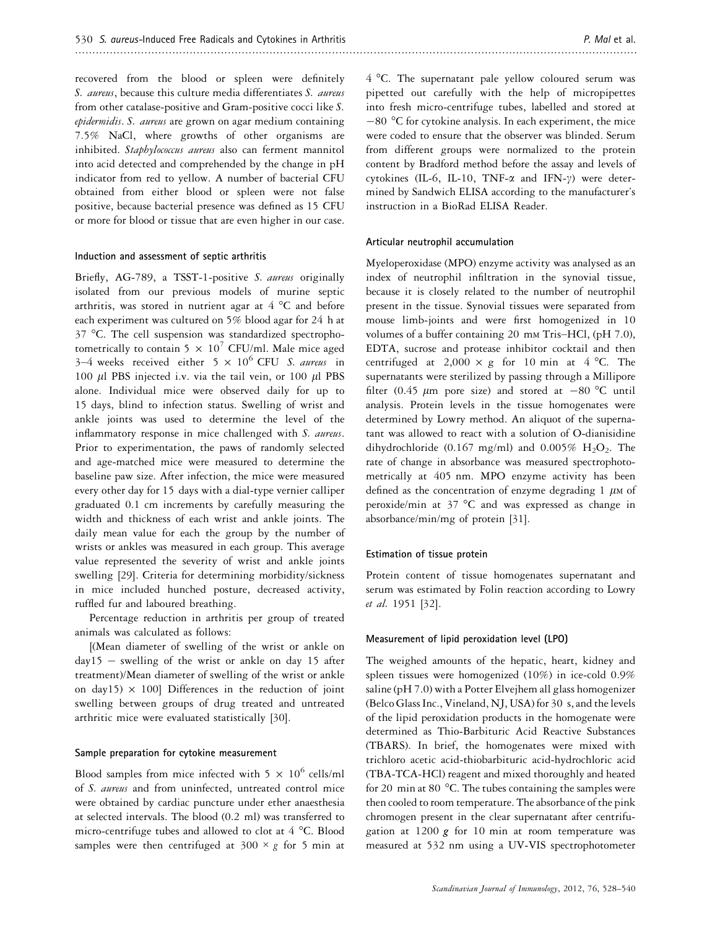recovered from the blood or spleen were definitely S. aureus, because this culture media differentiates S. aureus from other catalase-positive and Gram-positive cocci like S. epidermidis. S. aureus are grown on agar medium containing 7.5% NaCl, where growths of other organisms are inhibited. Staphylococcus aureus also can ferment mannitol into acid detected and comprehended by the change in pH indicator from red to yellow. A number of bacterial CFU obtained from either blood or spleen were not false positive, because bacterial presence was defined as 15 CFU or more for blood or tissue that are even higher in our case.

#### Induction and assessment of septic arthritis

Briefly, AG-789, a TSST-1-positive S. aureus originally isolated from our previous models of murine septic arthritis, was stored in nutrient agar at  $4^{\circ}$ C and before each experiment was cultured on 5% blood agar for 24 h at 37 °C. The cell suspension was standardized spectrophotometrically to contain 5  $\times$  10<sup>7</sup> CFU/ml. Male mice aged 3–4 weeks received either  $5 \times 10^6$  CFU *S. aureus* in 100  $\mu$ l PBS injected i.v. via the tail vein, or 100  $\mu$ l PBS alone. Individual mice were observed daily for up to 15 days, blind to infection status. Swelling of wrist and ankle joints was used to determine the level of the inflammatory response in mice challenged with S. aureus. Prior to experimentation, the paws of randomly selected and age-matched mice were measured to determine the baseline paw size. After infection, the mice were measured every other day for 15 days with a dial-type vernier calliper graduated 0.1 cm increments by carefully measuring the width and thickness of each wrist and ankle joints. The daily mean value for each the group by the number of wrists or ankles was measured in each group. This average value represented the severity of wrist and ankle joints swelling [29]. Criteria for determining morbidity/sickness in mice included hunched posture, decreased activity, ruffled fur and laboured breathing.

Percentage reduction in arthritis per group of treated animals was calculated as follows:

[(Mean diameter of swelling of the wrist or ankle on  $day15 - swelling$  of the wrist or ankle on day 15 after treatment)/Mean diameter of swelling of the wrist or ankle on day15)  $\times$  100] Differences in the reduction of joint swelling between groups of drug treated and untreated arthritic mice were evaluated statistically [30].

#### Sample preparation for cytokine measurement

Blood samples from mice infected with 5  $\times$  10<sup>6</sup> cells/ml of S. aureus and from uninfected, untreated control mice were obtained by cardiac puncture under ether anaesthesia at selected intervals. The blood (0.2 ml) was transferred to micro-centrifuge tubes and allowed to clot at 4 °C. Blood samples were then centrifuged at  $300 \times g$  for 5 min at 4 °C. The supernatant pale yellow coloured serum was pipetted out carefully with the help of micropipettes into fresh micro-centrifuge tubes, labelled and stored at  $-80$  °C for cytokine analysis. In each experiment, the mice were coded to ensure that the observer was blinded. Serum from different groups were normalized to the protein content by Bradford method before the assay and levels of cytokines (IL-6, IL-10, TNF- $\alpha$  and IFN- $\gamma$ ) were determined by Sandwich ELISA according to the manufacturer's instruction in a BioRad ELISA Reader.

#### Articular neutrophil accumulation

Myeloperoxidase (MPO) enzyme activity was analysed as an index of neutrophil infiltration in the synovial tissue, because it is closely related to the number of neutrophil present in the tissue. Synovial tissues were separated from mouse limb-joints and were first homogenized in 10 volumes of a buffer containing 20 mm Tris–HCl, (pH 7.0), EDTA, sucrose and protease inhibitor cocktail and then centrifuged at 2,000  $\times$  g for 10 min at 4 °C. The supernatants were sterilized by passing through a Millipore filter (0.45  $\mu$ m pore size) and stored at -80 °C until analysis. Protein levels in the tissue homogenates were determined by Lowry method. An aliquot of the supernatant was allowed to react with a solution of O-dianisidine dihydrochloride (0.167 mg/ml) and 0.005%  $H_2O_2$ . The rate of change in absorbance was measured spectrophotometrically at 405 nm. MPO enzyme activity has been defined as the concentration of enzyme degrading  $1 \mu$ M of peroxide/min at 37 °C and was expressed as change in absorbance/min/mg of protein [31].

#### Estimation of tissue protein

Protein content of tissue homogenates supernatant and serum was estimated by Folin reaction according to Lowry et al. 1951 [32].

#### Measurement of lipid peroxidation level (LPO)

The weighed amounts of the hepatic, heart, kidney and spleen tissues were homogenized (10%) in ice-cold 0.9% saline (pH 7.0) with a Potter Elvejhem all glass homogenizer (Belco Glass Inc., Vineland, NJ, USA) for 30 s, and the levels of the lipid peroxidation products in the homogenate were determined as Thio-Barbituric Acid Reactive Substances (TBARS). In brief, the homogenates were mixed with trichloro acetic acid-thiobarbituric acid-hydrochloric acid (TBA-TCA-HCl) reagent and mixed thoroughly and heated for 20 min at 80 °C. The tubes containing the samples were then cooled to room temperature. The absorbance of the pink chromogen present in the clear supernatant after centrifugation at  $1200 g$  for 10 min at room temperature was measured at 532 nm using a UV-VIS spectrophotometer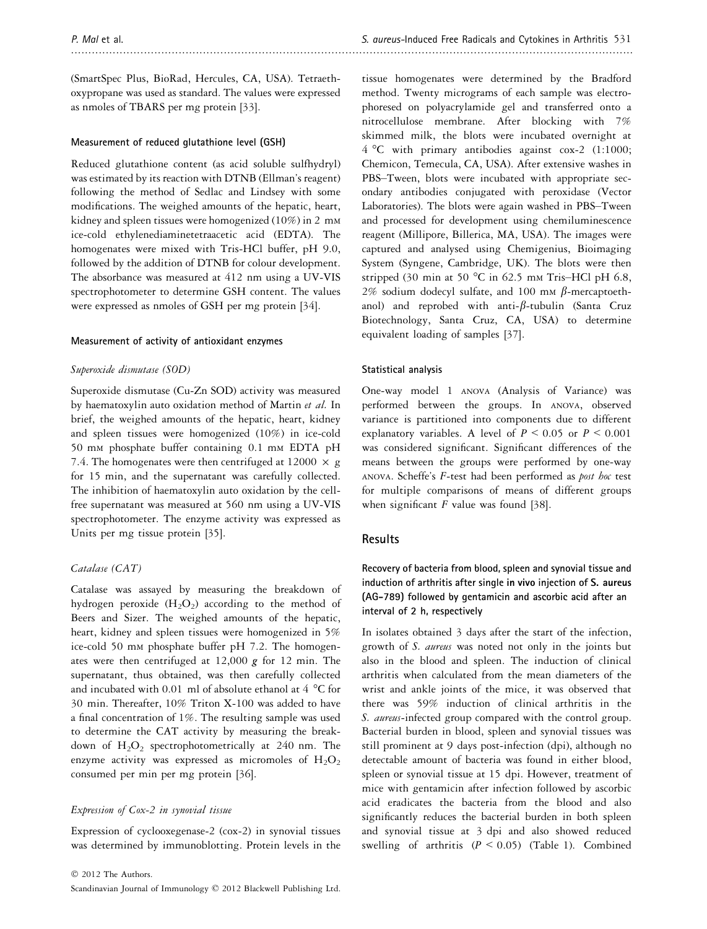(SmartSpec Plus, BioRad, Hercules, CA, USA). Tetraethoxypropane was used as standard. The values were expressed as nmoles of TBARS per mg protein [33].

## Measurement of reduced glutathione level (GSH)

Reduced glutathione content (as acid soluble sulfhydryl) was estimated by its reaction with DTNB (Ellman's reagent) following the method of Sedlac and Lindsey with some modifications. The weighed amounts of the hepatic, heart, kidney and spleen tissues were homogenized (10%) in 2 m<sup>M</sup> ice-cold ethylenediaminetetraacetic acid (EDTA). The homogenates were mixed with Tris-HCl buffer, pH 9.0, followed by the addition of DTNB for colour development. The absorbance was measured at 412 nm using a UV-VIS spectrophotometer to determine GSH content. The values were expressed as nmoles of GSH per mg protein [34].

## Measurement of activity of antioxidant enzymes

#### Superoxide dismutase (SOD)

Superoxide dismutase (Cu-Zn SOD) activity was measured by haematoxylin auto oxidation method of Martin et al. In brief, the weighed amounts of the hepatic, heart, kidney and spleen tissues were homogenized (10%) in ice-cold 50 mm phosphate buffer containing 0.1 mm EDTA pH 7.4. The homogenates were then centrifuged at  $12000 \times g$ for 15 min, and the supernatant was carefully collected. The inhibition of haematoxylin auto oxidation by the cellfree supernatant was measured at 560 nm using a UV-VIS spectrophotometer. The enzyme activity was expressed as Units per mg tissue protein [35].

#### Catalase (CAT)

Catalase was assayed by measuring the breakdown of hydrogen peroxide  $(H_2O_2)$  according to the method of Beers and Sizer. The weighed amounts of the hepatic, heart, kidney and spleen tissues were homogenized in 5% ice-cold 50 m<sup>M</sup> phosphate buffer pH 7.2. The homogenates were then centrifuged at  $12,000$  g for  $12$  min. The supernatant, thus obtained, was then carefully collected and incubated with 0.01 ml of absolute ethanol at 4 °C for 30 min. Thereafter, 10% Triton X-100 was added to have a final concentration of 1%. The resulting sample was used to determine the CAT activity by measuring the breakdown of  $H_2O_2$  spectrophotometrically at 240 nm. The enzyme activity was expressed as micromoles of  $H_2O_2$ consumed per min per mg protein [36].

## Expression of Cox-2 in synovial tissue

Expression of cyclooxegenase-2 (cox-2) in synovial tissues was determined by immunoblotting. Protein levels in the tissue homogenates were determined by the Bradford method. Twenty micrograms of each sample was electrophoresed on polyacrylamide gel and transferred onto a nitrocellulose membrane. After blocking with 7% skimmed milk, the blots were incubated overnight at 4 °C with primary antibodies against cox-2 (1:1000; Chemicon, Temecula, CA, USA). After extensive washes in PBS–Tween, blots were incubated with appropriate secondary antibodies conjugated with peroxidase (Vector Laboratories). The blots were again washed in PBS–Tween and processed for development using chemiluminescence reagent (Millipore, Billerica, MA, USA). The images were captured and analysed using Chemigenius, Bioimaging System (Syngene, Cambridge, UK). The blots were then stripped (30 min at 50  $^{\circ}$ C in 62.5 mm Tris–HCl pH 6.8, 2% sodium dodecyl sulfate, and 100 mm  $\beta$ -mercaptoethanol) and reprobed with anti- $\beta$ -tubulin (Santa Cruz Biotechnology, Santa Cruz, CA, USA) to determine equivalent loading of samples [37].

#### Statistical analysis

One-way model 1 ANOVA (Analysis of Variance) was performed between the groups. In ANOVA, observed variance is partitioned into components due to different explanatory variables. A level of  $P \le 0.05$  or  $P \le 0.001$ was considered significant. Significant differences of the means between the groups were performed by one-way ANOVA. Scheffe's F-test had been performed as post hoc test for multiple comparisons of means of different groups when significant  $F$  value was found [38].

## Results

Recovery of bacteria from blood, spleen and synovial tissue and induction of arthritis after single in vivo injection of S. aureus (AG-789) followed by gentamicin and ascorbic acid after an interval of 2 h, respectively

In isolates obtained 3 days after the start of the infection, growth of S. aureus was noted not only in the joints but also in the blood and spleen. The induction of clinical arthritis when calculated from the mean diameters of the wrist and ankle joints of the mice, it was observed that there was 59% induction of clinical arthritis in the S. aureus-infected group compared with the control group. Bacterial burden in blood, spleen and synovial tissues was still prominent at 9 days post-infection (dpi), although no detectable amount of bacteria was found in either blood, spleen or synovial tissue at 15 dpi. However, treatment of mice with gentamicin after infection followed by ascorbic acid eradicates the bacteria from the blood and also significantly reduces the bacterial burden in both spleen and synovial tissue at 3 dpi and also showed reduced swelling of arthritis  $(P \le 0.05)$  (Table 1). Combined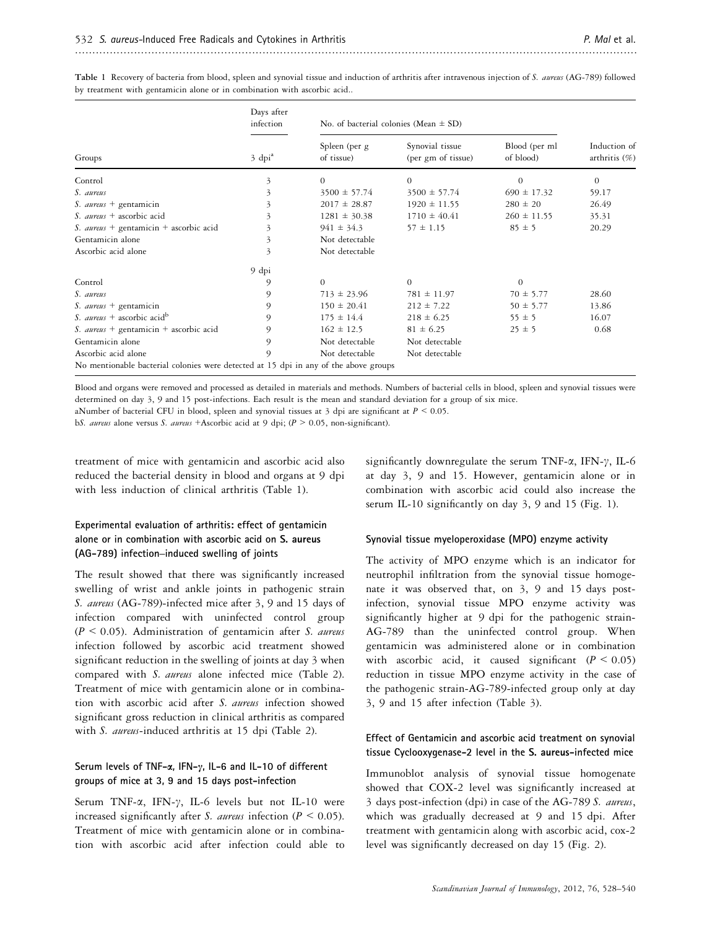|                                                                                      | Days after<br>infection | No. of bacterial colonies (Mean $\pm$ SD) |                                       |                            |                                  |
|--------------------------------------------------------------------------------------|-------------------------|-------------------------------------------|---------------------------------------|----------------------------|----------------------------------|
| Groups                                                                               | $3$ dpi <sup>a</sup>    | Spleen (per g<br>of tissue)               | Synovial tissue<br>(per gm of tissue) | Blood (per ml<br>of blood) | Induction of<br>arthritis $(\%)$ |
| Control                                                                              | 3                       | $\overline{0}$                            | $\theta$                              | $\theta$                   | $\theta$                         |
| S. aureus                                                                            | 3                       | $3500 \pm 57.74$                          | $3500 \pm 57.74$                      | $690 \pm 17.32$            | 59.17                            |
| S. aureus + gentamicin                                                               | 3                       | $2017 \pm 28.87$                          | $1920 \pm 11.55$                      | $280 \pm 20$               | 26.49                            |
| S. <i>aureus</i> + ascorbic acid                                                     | 3                       | $1281 \pm 30.38$                          | $1710 \pm 40.41$                      | $260 \pm 11.55$            | 35.31                            |
| S. aureus + gentamicin + ascorbic acid                                               | 3                       | $941 \pm 34.3$                            | $57 \pm 1.15$                         | $85 \pm 5$                 | 20.29                            |
| Gentamicin alone                                                                     | 3                       | Not detectable                            |                                       |                            |                                  |
| Ascorbic acid alone                                                                  | 3                       | Not detectable                            |                                       |                            |                                  |
|                                                                                      | 9 dpi                   |                                           |                                       |                            |                                  |
| Control                                                                              | 9                       | $\Omega$                                  | $\theta$                              | $\theta$                   |                                  |
| S. aureus                                                                            | 9                       | $713 \pm 23.96$                           | $781 \pm 11.97$                       | $70 \pm 5.77$              | 28.60                            |
| S. aureus + gentamicin                                                               | 9                       | $150 \pm 20.41$                           | $212 \pm 7.22$                        | $50 \pm 5.77$              | 13.86                            |
| S. aureus + ascorbic acid <sup>b</sup>                                               | 9                       | $175 \pm 14.4$                            | $218 \pm 6.25$                        | $55 \pm 5$                 | 16.07                            |
| S. aureus + gentamicin + ascorbic acid                                               | 9                       | $162 \pm 12.5$                            | $81 \pm 6.25$                         | $25 \pm 5$                 | 0.68                             |
| Gentamicin alone                                                                     | 9                       | Not detectable                            | Not detectable                        |                            |                                  |
| Ascorbic acid alone                                                                  | 9                       | Not detectable                            | Not detectable                        |                            |                                  |
| No mentionable bacterial colonies were detected at 15 dpi in any of the above groups |                         |                                           |                                       |                            |                                  |

Table 1 Recovery of bacteria from blood, spleen and synovial tissue and induction of arthritis after intravenous injection of S. aureus (AG-789) followed by treatment with gentamicin alone or in combination with ascorbic acid..

Blood and organs were removed and processed as detailed in materials and methods. Numbers of bacterial cells in blood, spleen and synovial tissues were determined on day 3, 9 and 15 post-infections. Each result is the mean and standard deviation for a group of six mice.

aNumber of bacterial CFU in blood, spleen and synovial tissues at 3 dpi are significant at  $P \le 0.05$ .

bS. aureus alone versus S. aureus +Ascorbic acid at 9 dpi; (P > 0.05, non-significant).

treatment of mice with gentamicin and ascorbic acid also reduced the bacterial density in blood and organs at 9 dpi with less induction of clinical arthritis (Table 1).

# Experimental evaluation of arthritis: effect of gentamicin alone or in combination with ascorbic acid on S. aureus (AG-789) infection–induced swelling of joints

The result showed that there was significantly increased swelling of wrist and ankle joints in pathogenic strain S. aureus (AG-789)-infected mice after 3, 9 and 15 days of infection compared with uninfected control group  $(P < 0.05)$ . Administration of gentamicin after S. aureus infection followed by ascorbic acid treatment showed significant reduction in the swelling of joints at day 3 when compared with S. aureus alone infected mice (Table 2). Treatment of mice with gentamicin alone or in combination with ascorbic acid after S. aureus infection showed significant gross reduction in clinical arthritis as compared with S. aureus-induced arthritis at 15 dpi (Table 2).

## Serum levels of TNF- $\alpha$ , IFN- $\gamma$ , IL-6 and IL-10 of different groups of mice at 3, 9 and 15 days post-infection

Serum TNF- $\alpha$ , IFN- $\gamma$ , IL-6 levels but not IL-10 were increased significantly after S. aureus infection ( $P \le 0.05$ ). Treatment of mice with gentamicin alone or in combination with ascorbic acid after infection could able to significantly downregulate the serum TNF- $\alpha$ , IFN- $\gamma$ , IL-6 at day 3, 9 and 15. However, gentamicin alone or in combination with ascorbic acid could also increase the serum IL-10 significantly on day 3, 9 and 15 (Fig. 1).

## Synovial tissue myeloperoxidase (MPO) enzyme activity

The activity of MPO enzyme which is an indicator for neutrophil infiltration from the synovial tissue homogenate it was observed that, on 3, 9 and 15 days postinfection, synovial tissue MPO enzyme activity was significantly higher at 9 dpi for the pathogenic strain-AG-789 than the uninfected control group. When gentamicin was administered alone or in combination with ascorbic acid, it caused significant  $(P < 0.05)$ reduction in tissue MPO enzyme activity in the case of the pathogenic strain-AG-789-infected group only at day 3, 9 and 15 after infection (Table 3).

## Effect of Gentamicin and ascorbic acid treatment on synovial tissue Cyclooxygenase-2 level in the S. aureus-infected mice

Immunoblot analysis of synovial tissue homogenate showed that COX-2 level was significantly increased at 3 days post-infection (dpi) in case of the AG-789 S. aureus, which was gradually decreased at 9 and 15 dpi. After treatment with gentamicin along with ascorbic acid, cox-2 level was significantly decreased on day 15 (Fig. 2).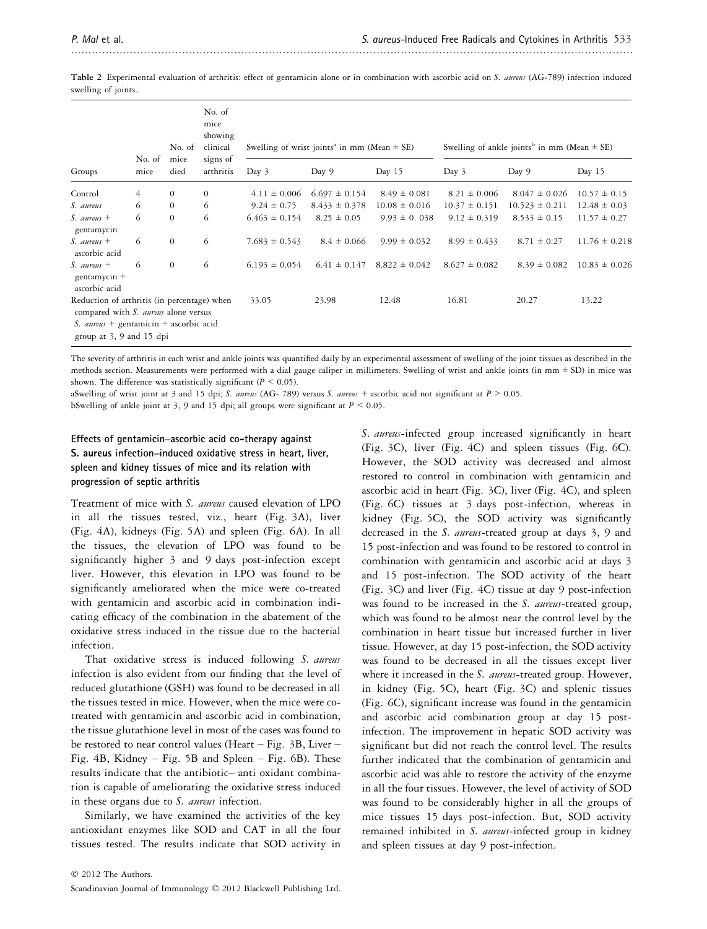Table 2 Experimental evaluation of arthritis: effect of gentamicin alone or in combination with ascorbic acid on S. aureus (AG-789) infection induced swelling of joints..

|                                                                                                                                                                  | No. of         | No. of<br>mice | No. of<br>mice<br>showing<br>clinical | Swelling of wrist joints <sup>a</sup> in mm (Mean $\pm$ SE) |                   |                   | Swelling of ankle joints <sup>b</sup> in mm (Mean $\pm$ SE) |                    |                   |
|------------------------------------------------------------------------------------------------------------------------------------------------------------------|----------------|----------------|---------------------------------------|-------------------------------------------------------------|-------------------|-------------------|-------------------------------------------------------------|--------------------|-------------------|
| Groups                                                                                                                                                           | mice           | died           | signs of<br>arthritis                 | Day $3$                                                     | Day 9             | Day 15            | Day $3$                                                     | Day 9              | Day 15            |
| Control                                                                                                                                                          | $\overline{4}$ | $\theta$       | $\mathbf{0}$                          | $4.11 \pm 0.006$                                            | $6.697 \pm 0.154$ | $8.49 \pm 0.081$  | $8.21 \pm 0.006$                                            | $8.047 \pm 0.026$  | $10.57 \pm 0.15$  |
| S. aureus                                                                                                                                                        | 6              | $\overline{0}$ | 6                                     | $9.24 \pm 0.75$                                             | $8.433 \pm 0.378$ | $10.08 \pm 0.016$ | $10.37 \pm 0.151$                                           | $10.523 \pm 0.211$ | $12.48 \pm 0.03$  |
| S. aureus $+$<br>gentamycin                                                                                                                                      | 6              | $\theta$       | 6                                     | $6.463 \pm 0.154$                                           | $8.25 \pm 0.05$   | $9.93 \pm 0.038$  | $9.12 \pm 0.319$                                            | $8.533 \pm 0.15$   | $11.57 \pm 0.27$  |
| $S.$ aureus +<br>ascorbic acid                                                                                                                                   | 6              | $\theta$       | 6                                     | $7.683 \pm 0.543$                                           | $8.4 \pm 0.066$   | $9.99 \pm 0.032$  | $8.99 \pm 0.433$                                            | $8.71 \pm 0.27$    | $11.76 \pm 0.218$ |
| $S.$ aureus +<br>gentamycin $+$<br>ascorbic acid                                                                                                                 | 6              | $\overline{0}$ | 6                                     | $6.193 \pm 0.054$                                           | $6.41 \pm 0.147$  | $8.822 \pm 0.042$ | $8.627 \pm 0.082$                                           | $8.39 \pm 0.082$   | $10.83 \pm 0.026$ |
| Reduction of arthritis (in percentage) when<br>compared with S. aureus alone versus<br>S. <i>aureus</i> + gentamicin + ascorbic acid<br>group at 3, 9 and 15 dpi |                |                |                                       | 33.05                                                       | 23.98             | 12.48             | 16.81                                                       | 20.27              | 13.22             |

The severity of arthritis in each wrist and ankle joints was quantified daily by an experimental assessment of swelling of the joint tissues as described in the methods section. Measurements were performed with a dial gauge caliper in millimeters. Swelling of wrist and ankle joints (in mm  $\pm$  SD) in mice was shown. The difference was statistically significant ( $P \le 0.05$ ).

aSwelling of wrist joint at 3 and 15 dpi; S. aureus (AG- 789) versus S. aureus + ascorbic acid not significant at  $P > 0.05$ .

bSwelling of ankle joint at 3, 9 and 15 dpi; all groups were significant at  $P \le 0.05$ .

# Effects of gentamicin–ascorbic acid co-therapy against S. aureus infection–induced oxidative stress in heart, liver, spleen and kidney tissues of mice and its relation with progression of septic arthritis

Treatment of mice with S. aureus caused elevation of LPO in all the tissues tested, viz., heart (Fig. 3A), liver (Fig. 4A), kidneys (Fig. 5A) and spleen (Fig. 6A). In all the tissues, the elevation of LPO was found to be significantly higher 3 and 9 days post-infection except liver. However, this elevation in LPO was found to be significantly ameliorated when the mice were co-treated with gentamicin and ascorbic acid in combination indicating efficacy of the combination in the abatement of the oxidative stress induced in the tissue due to the bacterial infection.

That oxidative stress is induced following S. aureus infection is also evident from our finding that the level of reduced glutathione (GSH) was found to be decreased in all the tissues tested in mice. However, when the mice were cotreated with gentamicin and ascorbic acid in combination, the tissue glutathione level in most of the cases was found to be restored to near control values (Heart – Fig. 3B, Liver – Fig. 4B, Kidney – Fig. 5B and Spleen – Fig. 6B). These results indicate that the antibiotic– anti oxidant combination is capable of ameliorating the oxidative stress induced in these organs due to S. *aureus* infection.

Similarly, we have examined the activities of the key antioxidant enzymes like SOD and CAT in all the four tissues tested. The results indicate that SOD activity in S. aureus-infected group increased significantly in heart (Fig. 3C), liver (Fig. 4C) and spleen tissues (Fig. 6C). However, the SOD activity was decreased and almost restored to control in combination with gentamicin and ascorbic acid in heart (Fig. 3C), liver (Fig. 4C), and spleen (Fig. 6C) tissues at 3 days post-infection, whereas in kidney (Fig. 5C), the SOD activity was significantly decreased in the S. aureus-treated group at days 3, 9 and 15 post-infection and was found to be restored to control in combination with gentamicin and ascorbic acid at days 3 and 15 post-infection. The SOD activity of the heart (Fig. 3C) and liver (Fig. 4C) tissue at day 9 post-infection was found to be increased in the S. aureus-treated group, which was found to be almost near the control level by the combination in heart tissue but increased further in liver tissue. However, at day 15 post-infection, the SOD activity was found to be decreased in all the tissues except liver where it increased in the S. aureus-treated group. However, in kidney (Fig. 5C), heart (Fig. 3C) and splenic tissues (Fig. 6C), significant increase was found in the gentamicin and ascorbic acid combination group at day 15 postinfection. The improvement in hepatic SOD activity was significant but did not reach the control level. The results further indicated that the combination of gentamicin and ascorbic acid was able to restore the activity of the enzyme in all the four tissues. However, the level of activity of SOD was found to be considerably higher in all the groups of mice tissues 15 days post-infection. But, SOD activity remained inhibited in S. aureus-infected group in kidney and spleen tissues at day 9 post-infection.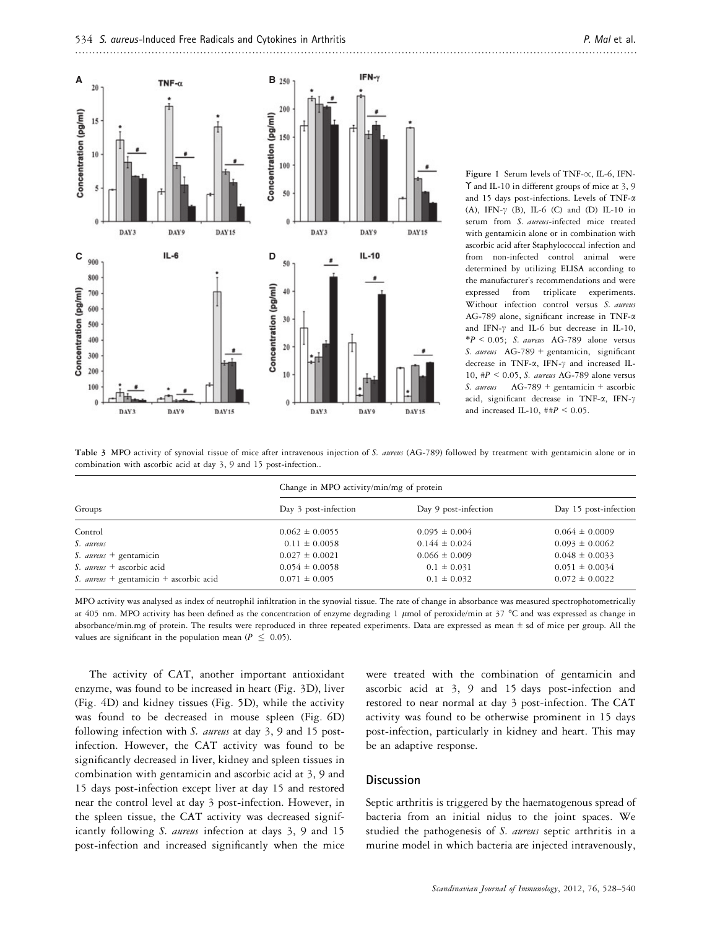

Figure 1 Serum levels of TNF- $\propto$ , IL-6, IFN-ϒ and IL-10 in different groups of mice at 3, 9 and 15 days post-infections. Levels of TNF-a (A), IFN- $\gamma$  (B), IL-6 (C) and (D) IL-10 in serum from S. aureus-infected mice treated with gentamicin alone or in combination with ascorbic acid after Staphylococcal infection and from non-infected control animal were determined by utilizing ELISA according to the manufacturer's recommendations and were expressed from triplicate experiments. Without infection control versus S. aureus AG-789 alone, significant increase in TNF-a and IFN- $\gamma$  and IL-6 but decrease in IL-10,  $*P < 0.05$ ; S. aureus AG-789 alone versus S. aureus  $AG-789$  + gentamicin, significant decrease in TNF- $\alpha$ , IFN- $\gamma$  and increased IL-10,  $\#P \le 0.05$ , S. aureus AG-789 alone versus S. aureus  $AG-789 + gentamicin + ascorbic$ acid, significant decrease in TNF- $\alpha$ , IFN- $\gamma$ and increased IL-10,  $\#PP$  < 0.05.

Table 3 MPO activity of synovial tissue of mice after intravenous injection of S. aureus (AG-789) followed by treatment with gentamicin alone or in combination with ascorbic acid at day 3, 9 and 15 post-infection..

|                                        | Change in MPO activity/min/mg of protein |                      |                       |  |  |
|----------------------------------------|------------------------------------------|----------------------|-----------------------|--|--|
| Groups                                 | Day 3 post-infection                     | Day 9 post-infection | Day 15 post-infection |  |  |
| Control                                | $0.062 \pm 0.0055$                       | $0.095 \pm 0.004$    | $0.064 \pm 0.0009$    |  |  |
| S. aureus                              | $0.11 \pm 0.0058$                        | $0.144 \pm 0.024$    | $0.093 \pm 0.0062$    |  |  |
| S. <i>aureus</i> + gentamicin          | $0.027 \pm 0.0021$                       | $0.066 \pm 0.009$    | $0.048 \pm 0.0033$    |  |  |
| S. <i>aureus</i> + ascorbic acid       | $0.054 \pm 0.0058$                       | $0.1 \pm 0.031$      | $0.051 \pm 0.0034$    |  |  |
| S. aureus + gentamicin + ascorbic acid | $0.071 \pm 0.005$                        | $0.1 \pm 0.032$      | $0.072 \pm 0.0022$    |  |  |

MPO activity was analysed as index of neutrophil infiltration in the synovial tissue. The rate of change in absorbance was measured spectrophotometrically at 405 nm. MPO activity has been defined as the concentration of enzyme degrading 1  $\mu$ mol of peroxide/min at 37 °C and was expressed as change in absorbance/min.mg of protein. The results were reproduced in three repeated experiments. Data are expressed as mean  $\pm$  sd of mice per group. All the values are significant in the population mean ( $P \leq 0.05$ ).

The activity of CAT, another important antioxidant enzyme, was found to be increased in heart (Fig. 3D), liver (Fig. 4D) and kidney tissues (Fig. 5D), while the activity was found to be decreased in mouse spleen (Fig. 6D) following infection with S. aureus at day 3, 9 and 15 postinfection. However, the CAT activity was found to be significantly decreased in liver, kidney and spleen tissues in combination with gentamicin and ascorbic acid at 3, 9 and 15 days post-infection except liver at day 15 and restored near the control level at day 3 post-infection. However, in the spleen tissue, the CAT activity was decreased significantly following S. aureus infection at days 3, 9 and 15 post-infection and increased significantly when the mice were treated with the combination of gentamicin and ascorbic acid at 3, 9 and 15 days post-infection and restored to near normal at day 3 post-infection. The CAT activity was found to be otherwise prominent in 15 days post-infection, particularly in kidney and heart. This may be an adaptive response.

# **Discussion**

Septic arthritis is triggered by the haematogenous spread of bacteria from an initial nidus to the joint spaces. We studied the pathogenesis of S. aureus septic arthritis in a murine model in which bacteria are injected intravenously,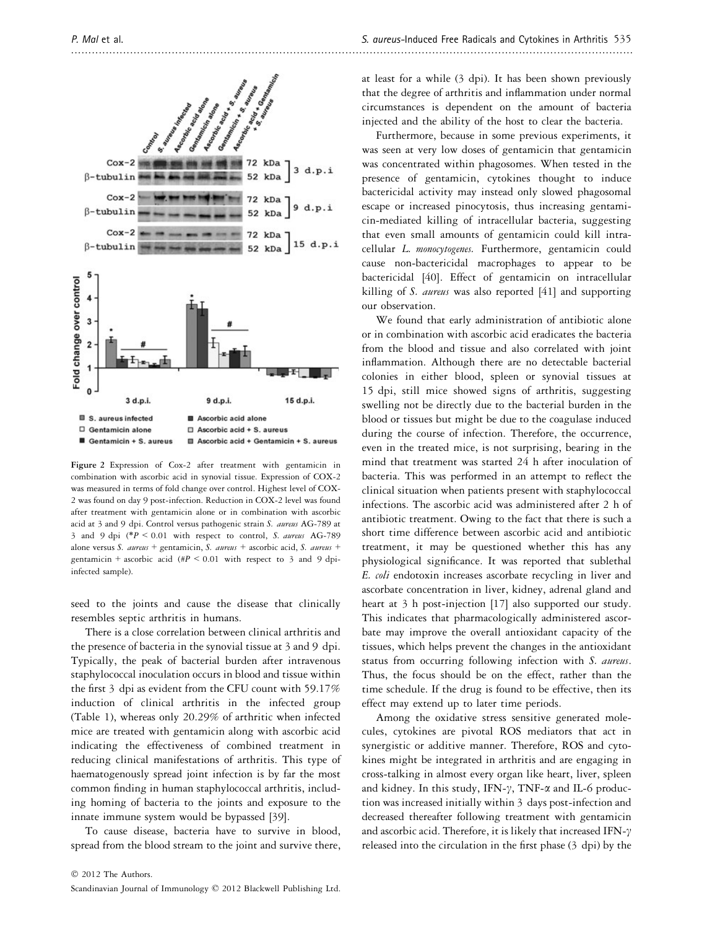

Figure 2 Expression of Cox-2 after treatment with gentamicin in combination with ascorbic acid in synovial tissue. Expression of COX-2 was measured in terms of fold change over control. Highest level of COX-2 was found on day 9 post-infection. Reduction in COX-2 level was found after treatment with gentamicin alone or in combination with ascorbic acid at 3 and 9 dpi. Control versus pathogenic strain S. aureus AG-789 at 3 and 9 dpi (\* $P < 0.01$  with respect to control, S. aureus AG-789 alone versus S. aureus + gentamicin, S. aureus + ascorbic acid, S. aureus + gentamicin + ascorbic acid (#P < 0.01 with respect to 3 and 9 dpiinfected sample).

seed to the joints and cause the disease that clinically resembles septic arthritis in humans.

There is a close correlation between clinical arthritis and the presence of bacteria in the synovial tissue at 3 and 9 dpi. Typically, the peak of bacterial burden after intravenous staphylococcal inoculation occurs in blood and tissue within the first 3 dpi as evident from the CFU count with 59.17% induction of clinical arthritis in the infected group (Table 1), whereas only 20.29% of arthritic when infected mice are treated with gentamicin along with ascorbic acid indicating the effectiveness of combined treatment in reducing clinical manifestations of arthritis. This type of haematogenously spread joint infection is by far the most common finding in human staphylococcal arthritis, including homing of bacteria to the joints and exposure to the innate immune system would be bypassed [39].

To cause disease, bacteria have to survive in blood, spread from the blood stream to the joint and survive there, at least for a while (3 dpi). It has been shown previously that the degree of arthritis and inflammation under normal circumstances is dependent on the amount of bacteria injected and the ability of the host to clear the bacteria.

Furthermore, because in some previous experiments, it was seen at very low doses of gentamicin that gentamicin was concentrated within phagosomes. When tested in the presence of gentamicin, cytokines thought to induce bactericidal activity may instead only slowed phagosomal escape or increased pinocytosis, thus increasing gentamicin-mediated killing of intracellular bacteria, suggesting that even small amounts of gentamicin could kill intracellular L. monocytogenes. Furthermore, gentamicin could cause non-bactericidal macrophages to appear to be bactericidal [40]. Effect of gentamicin on intracellular killing of S. aureus was also reported [41] and supporting our observation.

We found that early administration of antibiotic alone or in combination with ascorbic acid eradicates the bacteria from the blood and tissue and also correlated with joint inflammation. Although there are no detectable bacterial colonies in either blood, spleen or synovial tissues at 15 dpi, still mice showed signs of arthritis, suggesting swelling not be directly due to the bacterial burden in the blood or tissues but might be due to the coagulase induced during the course of infection. Therefore, the occurrence, even in the treated mice, is not surprising, bearing in the mind that treatment was started 24 h after inoculation of bacteria. This was performed in an attempt to reflect the clinical situation when patients present with staphylococcal infections. The ascorbic acid was administered after 2 h of antibiotic treatment. Owing to the fact that there is such a short time difference between ascorbic acid and antibiotic treatment, it may be questioned whether this has any physiological significance. It was reported that sublethal E. coli endotoxin increases ascorbate recycling in liver and ascorbate concentration in liver, kidney, adrenal gland and heart at 3 h post-injection [17] also supported our study. This indicates that pharmacologically administered ascorbate may improve the overall antioxidant capacity of the tissues, which helps prevent the changes in the antioxidant status from occurring following infection with S. aureus. Thus, the focus should be on the effect, rather than the time schedule. If the drug is found to be effective, then its effect may extend up to later time periods.

Among the oxidative stress sensitive generated molecules, cytokines are pivotal ROS mediators that act in synergistic or additive manner. Therefore, ROS and cytokines might be integrated in arthritis and are engaging in cross-talking in almost every organ like heart, liver, spleen and kidney. In this study, IFN- $\gamma$ , TNF- $\alpha$  and IL-6 production was increased initially within 3 days post-infection and decreased thereafter following treatment with gentamicin and ascorbic acid. Therefore, it is likely that increased IFN- $\gamma$ released into the circulation in the first phase (3 dpi) by the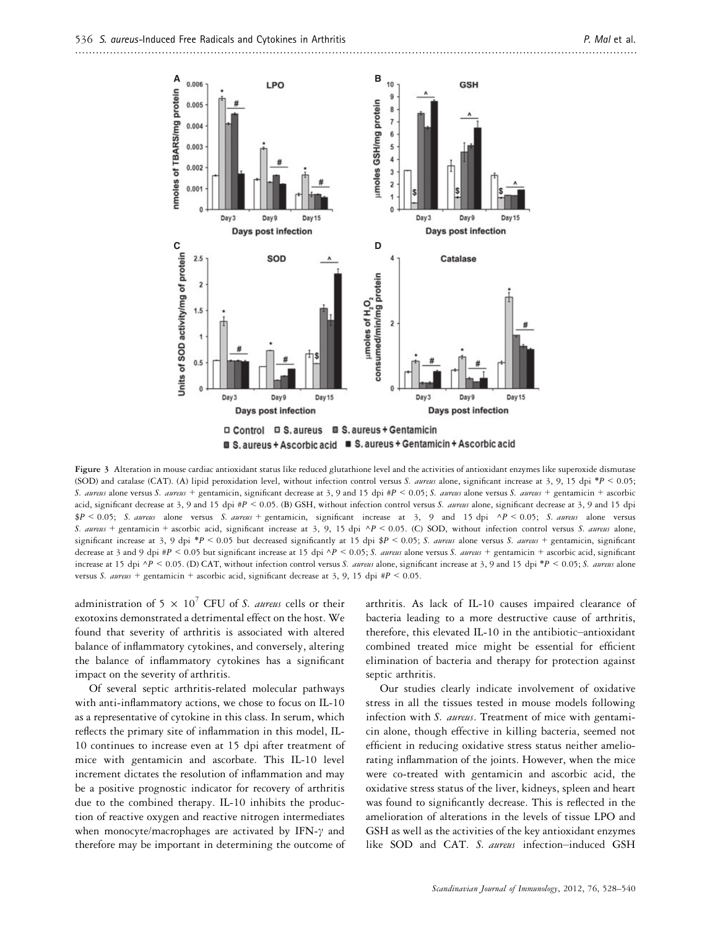

**■ S. aureus + Ascorbic acid ■ S. aureus + Gentamicin + Ascorbic acid** 

Figure 3 Alteration in mouse cardiac antioxidant status like reduced glutathione level and the activities of antioxidant enzymes like superoxide dismutase (SOD) and catalase (CAT). (A) lipid peroxidation level, without infection control versus S. aureus alone, significant increase at 3, 9, 15 dpi \*P < 0.05; S. aureus alone versus S. aureus + gentamicin, significant decrease at 3, 9 and 15 dpi #P < 0.05; S. aureus alone versus S. aureus + gentamicin + ascorbic acid, significant decrease at 3, 9 and 15 dpi #P < 0.05. (B) GSH, without infection control versus S. aureus alone, significant decrease at 3, 9 and 15 dpi  $P < 0.05$ ; S. aureus alone versus S. aureus + gentamicin, significant increase at 3, 9 and 15 dpi ^P < 0.05; S. aureus alone versus S. aureus + gentamicin + ascorbic acid, significant increase at 3, 9, 15 dpi  $\Delta P$  < 0.05. (C) SOD, without infection control versus S. aureus alone, significant increase at 3, 9 dpi \*P < 0.05 but decreased significantly at 15 dpi \$P < 0.05; S. aureus alone versus S. aureus + gentamicin, significant decrease at 3 and 9 dpi #P < 0.05 but significant increase at 15 dpi  $\Delta P$  < 0.05; S. aureus alone versus S. aureus + gentamicin + ascorbic acid, significant increase at 15 dpi  $\Delta P$  < 0.05. (D) CAT, without infection control versus S. aureus alone, significant increase at 3, 9 and 15 dpi \*P < 0.05; S. aureus alone versus S. aureus + gentamicin + ascorbic acid, significant decrease at 3, 9, 15 dpi  $\#P \le 0.05$ .

administration of 5  $\times$   $10^7$  CFU of *S. aureus* cells or their exotoxins demonstrated a detrimental effect on the host. We found that severity of arthritis is associated with altered balance of inflammatory cytokines, and conversely, altering the balance of inflammatory cytokines has a significant impact on the severity of arthritis.

Of several septic arthritis-related molecular pathways with anti-inflammatory actions, we chose to focus on IL-10 as a representative of cytokine in this class. In serum, which reflects the primary site of inflammation in this model, IL-10 continues to increase even at 15 dpi after treatment of mice with gentamicin and ascorbate. This IL-10 level increment dictates the resolution of inflammation and may be a positive prognostic indicator for recovery of arthritis due to the combined therapy. IL-10 inhibits the production of reactive oxygen and reactive nitrogen intermediates when monocyte/macrophages are activated by IFN- $\gamma$  and therefore may be important in determining the outcome of arthritis. As lack of IL-10 causes impaired clearance of bacteria leading to a more destructive cause of arthritis, therefore, this elevated IL-10 in the antibiotic–antioxidant combined treated mice might be essential for efficient elimination of bacteria and therapy for protection against septic arthritis.

Our studies clearly indicate involvement of oxidative stress in all the tissues tested in mouse models following infection with S. aureus. Treatment of mice with gentamicin alone, though effective in killing bacteria, seemed not efficient in reducing oxidative stress status neither ameliorating inflammation of the joints. However, when the mice were co-treated with gentamicin and ascorbic acid, the oxidative stress status of the liver, kidneys, spleen and heart was found to significantly decrease. This is reflected in the amelioration of alterations in the levels of tissue LPO and GSH as well as the activities of the key antioxidant enzymes like SOD and CAT. S. aureus infection-induced GSH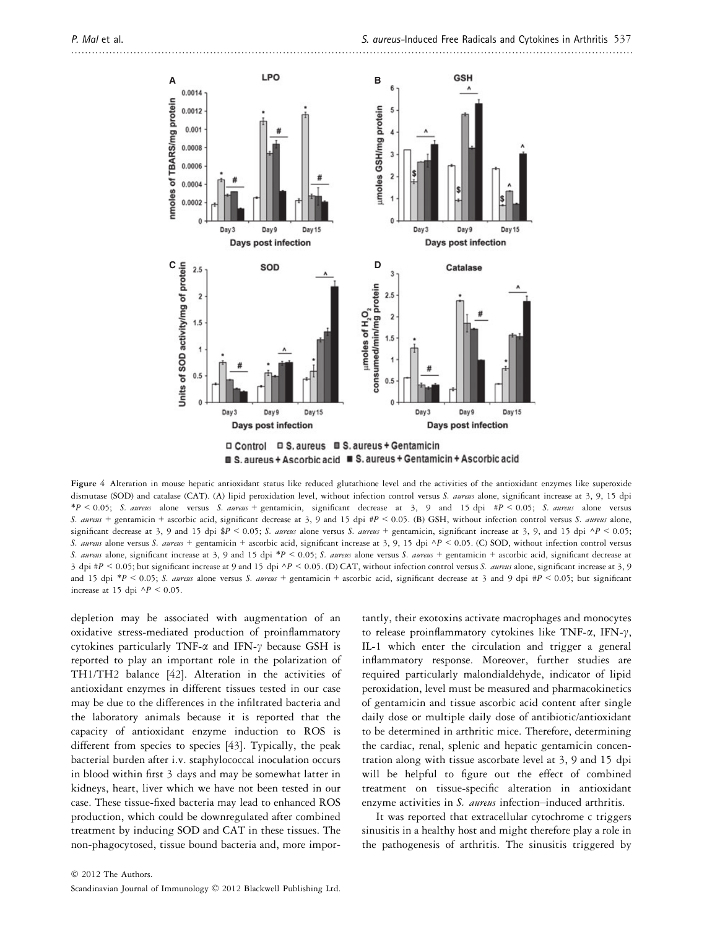

■ S. aureus + Ascorbic acid ■ S. aureus + Gentamicin + Ascorbic acid

Figure 4 Alteration in mouse hepatic antioxidant status like reduced glutathione level and the activities of the antioxidant enzymes like superoxide dismutase (SOD) and catalase (CAT). (A) lipid peroxidation level, without infection control versus S. aureus alone, significant increase at 3, 9, 15 dpi  $*P < 0.05$ ; S. aureus alone versus S. aureus + gentamicin, significant decrease at 3, 9 and 15 dpi  $*P < 0.05$ ; S. aureus alone versus S. aureus + gentamicin + ascorbic acid, significant decrease at 3, 9 and 15 dpi #P < 0.05. (B) GSH, without infection control versus S. aureus alone, significant decrease at 3, 9 and 15 dpi  $P < 0.05$ ; S. aureus alone versus S. aureus + gentamicin, significant increase at 3, 9, and 15 dpi  $\Delta P < 0.05$ ; S. aureus alone versus S. aureus + gentamicin + ascorbic acid, significant increase at 3, 9, 15 dpi  $\Delta P$  < 0.05. (C) SOD, without infection control versus S. aureus alone, significant increase at 3, 9 and 15 dpi \*P < 0.05; S. aureus alone versus S. aureus + gentamicin + ascorbic acid, significant decrease at 3 dpi #P < 0.05; but significant increase at 9 and 15 dpi  $\Delta P$  < 0.05. (D) CAT, without infection control versus S. *aureus* alone, significant increase at 3, 9 and 15 dpi \*P < 0.05; S. aureus alone versus S. aureus + gentamicin + ascorbic acid, significant decrease at 3 and 9 dpi #P < 0.05; but significant increase at 15 dpi  $\Delta P$  < 0.05.

depletion may be associated with augmentation of an oxidative stress-mediated production of proinflammatory cytokines particularly TNF- $\alpha$  and IFN- $\gamma$  because GSH is reported to play an important role in the polarization of TH1/TH2 balance [42]. Alteration in the activities of antioxidant enzymes in different tissues tested in our case may be due to the differences in the infiltrated bacteria and the laboratory animals because it is reported that the capacity of antioxidant enzyme induction to ROS is different from species to species [43]. Typically, the peak bacterial burden after i.v. staphylococcal inoculation occurs in blood within first 3 days and may be somewhat latter in kidneys, heart, liver which we have not been tested in our case. These tissue-fixed bacteria may lead to enhanced ROS production, which could be downregulated after combined treatment by inducing SOD and CAT in these tissues. The non-phagocytosed, tissue bound bacteria and, more importantly, their exotoxins activate macrophages and monocytes to release proinflammatory cytokines like TNF- $\alpha$ , IFN- $\gamma$ , IL-1 which enter the circulation and trigger a general inflammatory response. Moreover, further studies are required particularly malondialdehyde, indicator of lipid peroxidation, level must be measured and pharmacokinetics of gentamicin and tissue ascorbic acid content after single daily dose or multiple daily dose of antibiotic/antioxidant to be determined in arthritic mice. Therefore, determining the cardiac, renal, splenic and hepatic gentamicin concentration along with tissue ascorbate level at 3, 9 and 15 dpi will be helpful to figure out the effect of combined treatment on tissue-specific alteration in antioxidant enzyme activities in S. aureus infection-induced arthritis.

It was reported that extracellular cytochrome c triggers sinusitis in a healthy host and might therefore play a role in the pathogenesis of arthritis. The sinusitis triggered by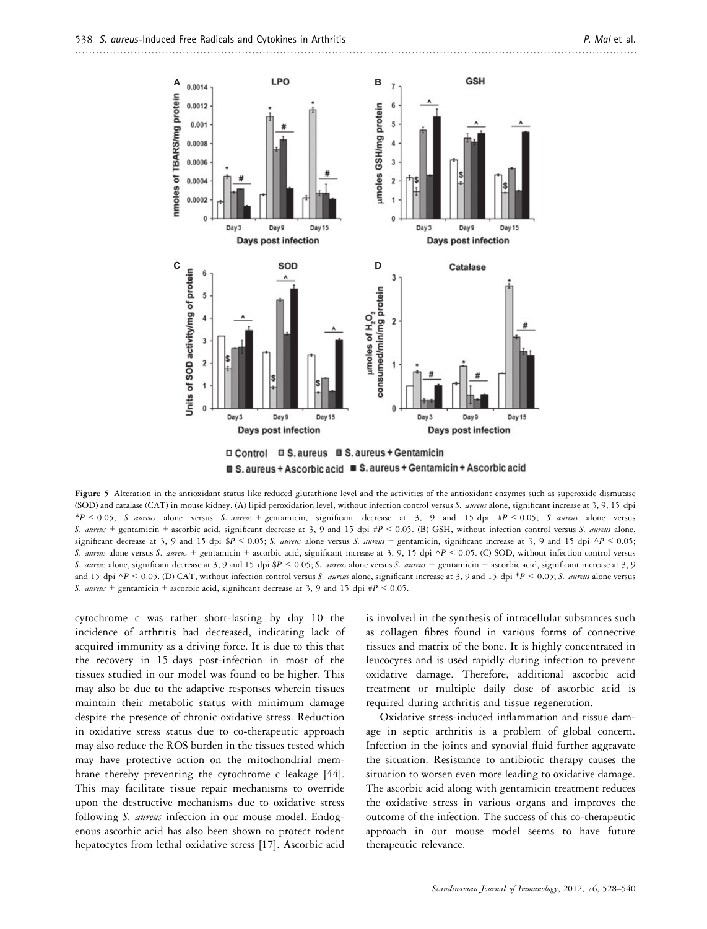



Figure 5 Alteration in the antioxidant status like reduced glutathione level and the activities of the antioxidant enzymes such as superoxide dismutase (SOD) and catalase (CAT) in mouse kidney. (A) lipid peroxidation level, without infection control versus S. aureus alone, significant increase at 3, 9, 15 dpi  $*P < 0.05$ ; S. aureus alone versus S. aureus + gentamicin, significant decrease at 3, 9 and 15 dpi  $\#P < 0.05$ ; S. aureus alone versus S. aureus + gentamicin + ascorbic acid, significant decrease at 3, 9 and 15 dpi #P < 0.05. (B) GSH, without infection control versus S. aureus alone, significant decrease at 3, 9 and 15 dpi  $P < 0.05$ ; S. aureus alone versus S. aureus + gentamicin, significant increase at 3, 9 and 15 dpi  $\Delta P < 0.05$ ; S. aureus alone versus S. aureus + gentamicin + ascorbic acid, significant increase at 3, 9, 15 dpi  $\Delta P$  < 0.05. (C) SOD, without infection control versus S. aureus alone, significant decrease at 3, 9 and 15 dpi \$P < 0.05; S. aureus alone versus S. aureus + gentamicin + ascorbic acid, significant increase at 3, 9 and 15 dpi  $\Delta P$  < 0.05; (D) CAT, without infection control versus S. aureus alone, significant increase at 3, 9 and 15 dpi \*P < 0.05; S. aureus alone versus S. aureus + gentamicin + ascorbic acid, significant decrease at 3, 9 and 15 dpi  $\#P \le 0.05$ .

cytochrome c was rather short-lasting by day 10 the incidence of arthritis had decreased, indicating lack of acquired immunity as a driving force. It is due to this that the recovery in 15 days post-infection in most of the tissues studied in our model was found to be higher. This may also be due to the adaptive responses wherein tissues maintain their metabolic status with minimum damage despite the presence of chronic oxidative stress. Reduction in oxidative stress status due to co-therapeutic approach may also reduce the ROS burden in the tissues tested which may have protective action on the mitochondrial membrane thereby preventing the cytochrome c leakage [44]. This may facilitate tissue repair mechanisms to override upon the destructive mechanisms due to oxidative stress following S. aureus infection in our mouse model. Endogenous ascorbic acid has also been shown to protect rodent hepatocytes from lethal oxidative stress [17]. Ascorbic acid is involved in the synthesis of intracellular substances such as collagen fibres found in various forms of connective tissues and matrix of the bone. It is highly concentrated in leucocytes and is used rapidly during infection to prevent oxidative damage. Therefore, additional ascorbic acid treatment or multiple daily dose of ascorbic acid is required during arthritis and tissue regeneration.

Oxidative stress-induced inflammation and tissue damage in septic arthritis is a problem of global concern. Infection in the joints and synovial fluid further aggravate the situation. Resistance to antibiotic therapy causes the situation to worsen even more leading to oxidative damage. The ascorbic acid along with gentamicin treatment reduces the oxidative stress in various organs and improves the outcome of the infection. The success of this co-therapeutic approach in our mouse model seems to have future therapeutic relevance.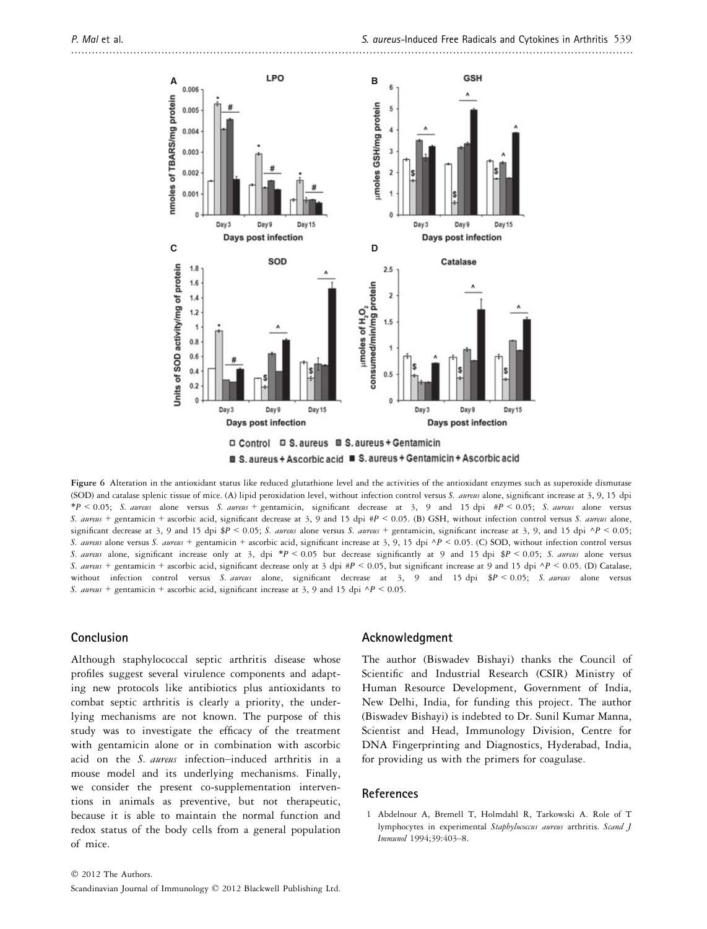

■ S. aureus + Ascorbic acid ■ S. aureus + Gentamicin + Ascorbic acid

Figure 6 Alteration in the antioxidant status like reduced glutathione level and the activities of the antioxidant enzymes such as superoxide dismutase (SOD) and catalase splenic tissue of mice. (A) lipid peroxidation level, without infection control versus S. aureus alone, significant increase at 3, 9, 15 dpi  $*P < 0.05$ ; S. aureus alone versus S. aureus + gentamicin, significant decrease at 3, 9 and 15 dpi  $\#P < 0.05$ ; S. aureus alone versus S. aureus + gentamicin + ascorbic acid, significant decrease at 3, 9 and 15 dpi  $\#P$  < 0.05. (B) GSH, without infection control versus S. aureus alone, significant decrease at 3, 9 and 15 dpi  $P < 0.05$ ; S. aureus alone versus S. aureus + gentamicin, significant increase at 3, 9, and 15 dpi  $\Delta P < 0.05$ ; S. aureus alone versus S. aureus + gentamicin + ascorbic acid, significant increase at 3, 9, 15 dpi  $\Delta P$  < 0.05. (C) SOD, without infection control versus S. aureus alone, significant increase only at 3, dpi \*P < 0.05 but decrease significantly at 9 and 15 dpi \$P < 0.05; S. aureus alone versus S. aureus + gentamicin + ascorbic acid, significant decrease only at 3 dpi #P < 0.05, but significant increase at 9 and 15 dpi  $^{\wedge}P$  < 0.05. (D) Catalase, without infection control versus S. aureus alone, significant decrease at 3, 9 and 15 dpi \$P < 0.05; S. aureus alone versus S. aureus + gentamicin + ascorbic acid, significant increase at 3, 9 and 15 dpi  $\Delta P$  < 0.05.

## Conclusion

Although staphylococcal septic arthritis disease whose profiles suggest several virulence components and adapting new protocols like antibiotics plus antioxidants to combat septic arthritis is clearly a priority, the underlying mechanisms are not known. The purpose of this study was to investigate the efficacy of the treatment with gentamicin alone or in combination with ascorbic acid on the S. aureus infection–induced arthritis in a mouse model and its underlying mechanisms. Finally, we consider the present co-supplementation interventions in animals as preventive, but not therapeutic, because it is able to maintain the normal function and redox status of the body cells from a general population of mice.

#### Acknowledgment

The author (Biswadev Bishayi) thanks the Council of Scientific and Industrial Research (CSIR) Ministry of Human Resource Development, Government of India, New Delhi, India, for funding this project. The author (Biswadev Bishayi) is indebted to Dr. Sunil Kumar Manna, Scientist and Head, Immunology Division, Centre for DNA Fingerprinting and Diagnostics, Hyderabad, India, for providing us with the primers for coagulase.

### References

1 Abdelnour A, Bremell T, Holmdahl R, Tarkowski A. Role of T lymphocytes in experimental Staphylococcus aureus arthritis. Scand J Immunol 1994;39:403–8.